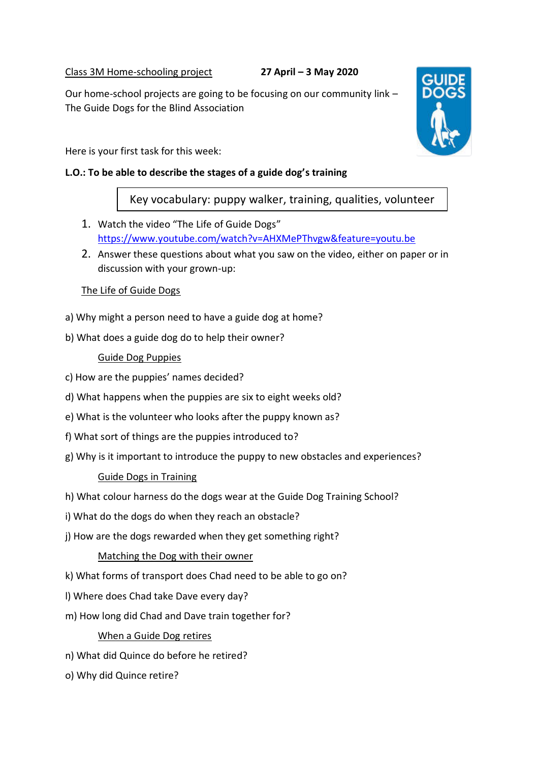Class 3M Home-schooling project **27 April – 3 May 2020**

Our home-school projects are going to be focusing on our community link – The Guide Dogs for the Blind Association

Here is your first task for this week:

### **L.O.: To be able to describe the stages of a guide dog's training**

Key vocabulary: puppy walker, training, qualities, volunteer

- 1. Watch the video "The Life of Guide Dogs" <https://www.youtube.com/watch?v=AHXMePThvgw&feature=youtu.be>
- 2. Answer these questions about what you saw on the video, either on paper or in discussion with your grown-up:

# The Life of Guide Dogs

- a) Why might a person need to have a guide dog at home?
- b) What does a guide dog do to help their owner?

# Guide Dog Puppies

- c) How are the puppies' names decided?
- d) What happens when the puppies are six to eight weeks old?
- e) What is the volunteer who looks after the puppy known as?
- f) What sort of things are the puppies introduced to?
- g) Why is it important to introduce the puppy to new obstacles and experiences?

### Guide Dogs in Training

- h) What colour harness do the dogs wear at the Guide Dog Training School?
- i) What do the dogs do when they reach an obstacle?
- j) How are the dogs rewarded when they get something right?

### Matching the Dog with their owner

- k) What forms of transport does Chad need to be able to go on?
- l) Where does Chad take Dave every day?
- m) How long did Chad and Dave train together for?

### When a Guide Dog retires

- n) What did Quince do before he retired?
- o) Why did Quince retire?